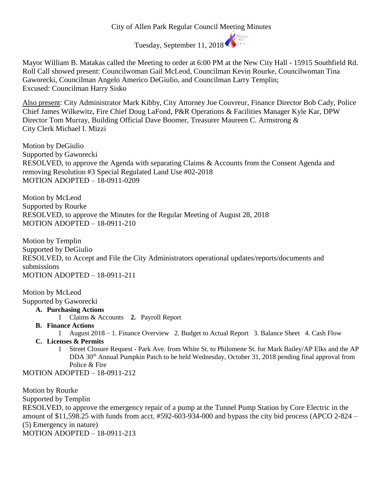## City of Allen Park Regular Council Meeting Minutes



Mayor William B. Matakas called the Meeting to order at 6:00 PM at the New City Hall - 15915 Southfield Rd. Roll Call showed present: Councilwoman Gail McLeod, Councilman Kevin Rourke, Councilwoman Tina Gaworecki, Councilman Angelo Americo DeGiulio, and Councilman Larry Templin; Excused: Councilman Harry Sisko

Also present: City Administrator Mark Kibby, City Attorney Joe Couvreur, Finance Director Bob Cady, Police Chief James Wilkewitz, Fire Chief Doug LaFond, P&R Operations & Facilities Manager Kyle Kar, DPW Director Tom Murray, Building Official Dave Boomer, Treasurer Maureen C. Armstrong & City Clerk Michael I. Mizzi

Motion by DeGiulio Supported by Gaworecki RESOLVED, to approve the Agenda with separating Claims & Accounts from the Consent Agenda and removing Resolution #3 Special Regulated Land Use #02-2018 MOTION ADOPTED – 18-0911-0209

Motion by McLeod Supported by Rourke RESOLVED, to approve the Minutes for the Regular Meeting of August 28, 2018 MOTION ADOPTED – 18-0911-210

Motion by Templin Supported by DeGiulio RESOLVED, to Accept and File the City Administrators operational updates/reports/documents and submissions MOTION ADOPTED – 18-0911-211

Motion by McLeod Supported by Gaworecki

- **A. Purchasing Actions**
	- 1 Claims & Accounts **2.** Payroll Report
- **B. Finance Actions**
	- 1 August 2018 1. Finance Overview 2. Budget to Actual Report 3. Balance Sheet 4. Cash Flow
- **C. Licenses & Permits**
	- 1 Street Closure Request Park Ave. from White St. to Philomene St. for Mark Bailey/AP Elks and the AP DDA 30<sup>th</sup> Annual Pumpkin Patch to be held Wednesday, October 31, 2018 pending final approval from Police & Fire

MOTION ADOPTED – 18-0911-212

Motion by Rourke Supported by Templin RESOLVED, to approve the emergency repair of a pump at the Tunnel Pump Station by Core Electric in the amount of \$11,598.25 with funds from acct. #592-603-934-000 and bypass the city bid process (APCO 2-824 – (5) Emergency in nature) MOTION ADOPTED – 18-0911-213